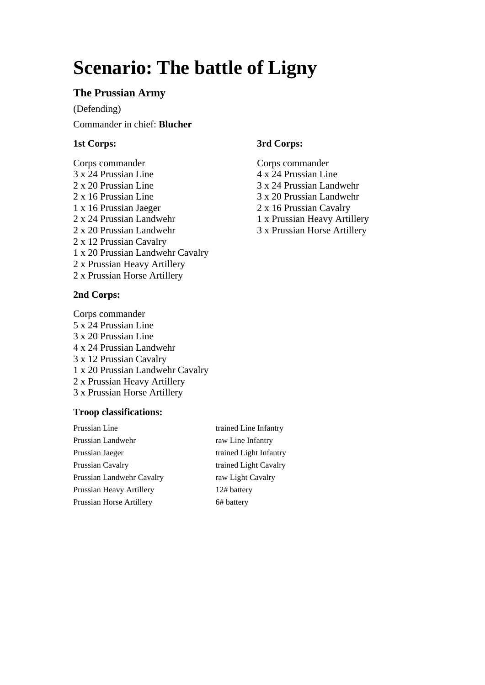# **Scenario: The battle of Ligny**

# **The Prussian Army**

(Defending) Commander in chief: **Blucher**

# **1st Corps:**

Corps commander 3 x 24 Prussian Line 2 x 20 Prussian Line 2 x 16 Prussian Line 1 x 16 Prussian Jaeger 2 x 24 Prussian Landwehr 2 x 20 Prussian Landwehr 2 x 12 Prussian Cavalry 1 x 20 Prussian Landwehr Cavalry 2 x Prussian Heavy Artillery 2 x Prussian Horse Artillery

## **2nd Corps:**

Corps commander 5 x 24 Prussian Line 3 x 20 Prussian Line 4 x 24 Prussian Landwehr 3 x 12 Prussian Cavalry 1 x 20 Prussian Landwehr Cavalry 2 x Prussian Heavy Artillery 3 x Prussian Horse Artillery

# **Troop classifications:**

Prussian Line trained Line Infantry Prussian Landwehr raw Line Infantry Prussian Jaeger trained Light Infantry Prussian Cavalry trained Light Cavalry Prussian Landwehr Cavalry raw Light Cavalry Prussian Heavy Artillery 12# battery Prussian Horse Artillery 6# battery

# **3rd Corps:**

Corps commander 4 x 24 Prussian Line 3 x 24 Prussian Landwehr 3 x 20 Prussian Landwehr 2 x 16 Prussian Cavalry 1 x Prussian Heavy Artillery 3 x Prussian Horse Artillery